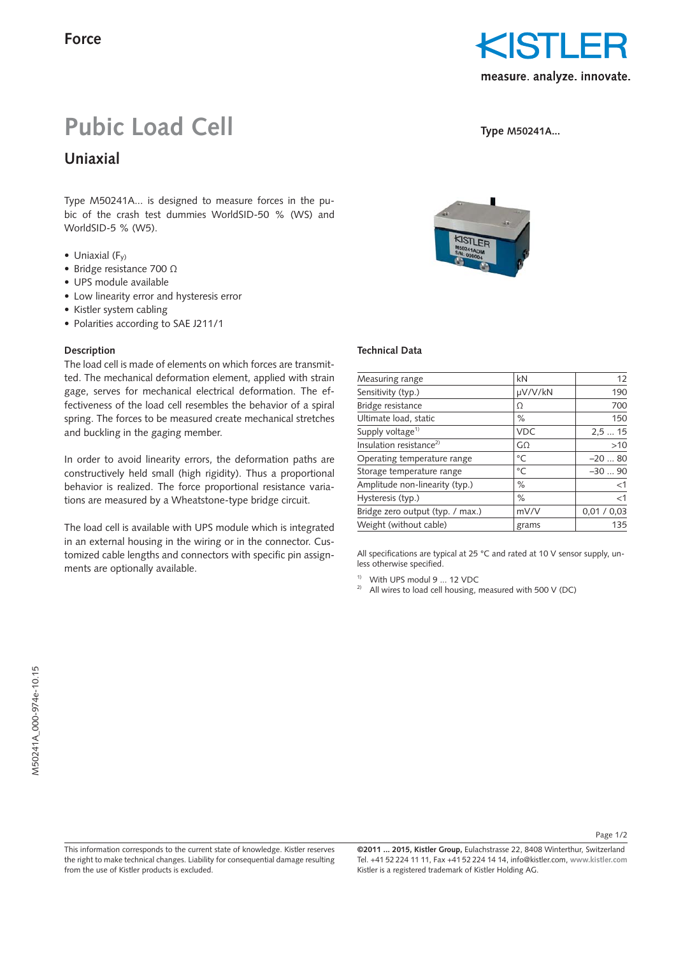

**Type M50241A...**

# **Pubic Load Cell**

**Uniaxial**

Type M50241A... is designed to measure forces in the pubic of the crash test dummies WorldSID-50 % (WS) and WorldSID-5 % (W5).

- Uniaxial  $(F_v)$
- Bridge resistance 700 Ω
- UPS module available
- Low linearity error and hysteresis error
- Kistler system cabling
- Polarities according to SAE J211/1

from the use of Kistler products is excluded.

## **Description**

The load cell is made of elements on which forces are transmitted. The mechanical deformation element, applied with strain gage, serves for mechanical electrical deformation. The effectiveness of the load cell resembles the behavior of a spiral spring. The forces to be measured create mechanical stretches and buckling in the gaging member.

In order to avoid linearity errors, the deformation paths are constructively held small (high rigidity). Thus a proportional behavior is realized. The force proportional resistance variations are measured by a Wheatstone-type bridge circuit.

The load cell is available with UPS module which is integrated in an external housing in the wiring or in the connector. Customized cable lengths and connectors with specific pin assignments are optionally available.

### **Technical Data**

| Measuring range                     | kN           | 12          |
|-------------------------------------|--------------|-------------|
| Sensitivity (typ.)                  | µV/V/kN      | 190         |
| Bridge resistance                   | Ω            | 700         |
| Ultimate load, static               | $\%$         | 150         |
| Supply voltage <sup>1)</sup>        | <b>VDC</b>   | 2.515       |
| Insulation resistance <sup>2)</sup> | GΩ           | >10         |
| Operating temperature range         | °C           | $-2080$     |
| Storage temperature range           | $^{\circ}$ C | $-3090$     |
| Amplitude non-linearity (typ.)      | $\%$         | $<$ 1       |
| Hysteresis (typ.)                   | $\%$         | $<$ 1       |
| Bridge zero output (typ. / max.)    | mV/V         | 0.01 / 0.03 |
| Weight (without cable)              | grams        | 135         |
|                                     |              |             |

All specifications are typical at 25 °C and rated at 10 V sensor supply, unless otherwise specified.

1) With UPS modul 9 ... 12 VDC

<sup>2)</sup> All wires to load cell housing, measured with 500 V (DC)

**©2011 ... 2015, Kistler Group,** Eulachstrasse 22, 8408 Winterthur, Switzerland This information corresponds to the current state of knowledge. Kistler reserves

Tel. +41 52 224 11 11, Fax +41 52 224 14 14, info@kistler.com, **www.kistler.com** Kistler is a registered trademark of Kistler Holding AG. the right to make technical changes. Liability for consequential damage resulting